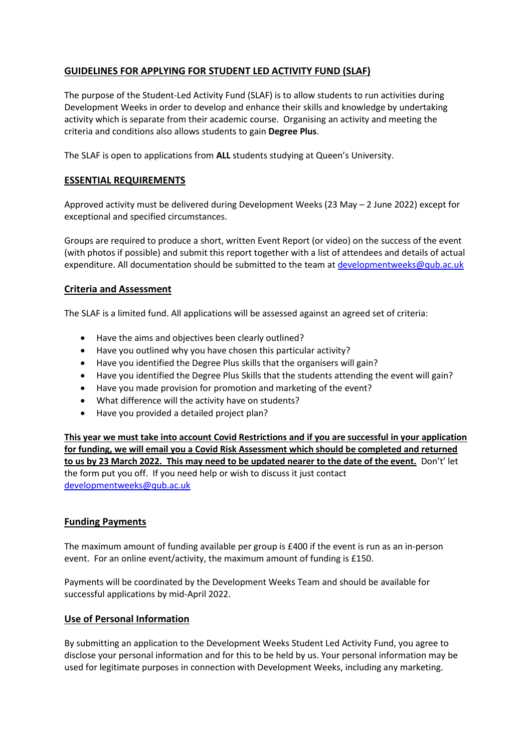## **GUIDELINES FOR APPLYING FOR STUDENT LED ACTIVITY FUND (SLAF)**

The purpose of the Student-Led Activity Fund (SLAF) is to allow students to run activities during Development Weeks in order to develop and enhance their skills and knowledge by undertaking activity which is separate from their academic course. Organising an activity and meeting the criteria and conditions also allows students to gain **Degree Plus**.

The SLAF is open to applications from **ALL** students studying at Queen's University.

## **ESSENTIAL REQUIREMENTS**

Approved activity must be delivered during Development Weeks (23 May – 2 June 2022) except for exceptional and specified circumstances.

Groups are required to produce a short, written Event Report (or video) on the success of the event (with photos if possible) and submit this report together with a list of attendees and details of actual expenditure. All documentation should be submitted to the team at [developmentweeks@qub.ac.uk](mailto:developmentweeks@qub.ac.uk)

## **Criteria and Assessment**

The SLAF is a limited fund. All applications will be assessed against an agreed set of criteria:

- Have the aims and objectives been clearly outlined?
- Have you outlined why you have chosen this particular activity?
- Have you identified the Degree Plus skills that the organisers will gain?
- Have you identified the Degree Plus Skills that the students attending the event will gain?
- Have you made provision for promotion and marketing of the event?
- What difference will the activity have on students?
- Have you provided a detailed project plan?

**This year we must take into account Covid Restrictions and if you are successful in your application for funding, we will email you a Covid Risk Assessment which should be completed and returned to us by 23 March 2022. This may need to be updated nearer to the date of the event.** Don't' let the form put you off. If you need help or wish to discuss it just contact [developmentweeks@qub.ac.uk](mailto:developmentweeks@qub.ac.uk)

## **Funding Payments**

The maximum amount of funding available per group is £400 if the event is run as an in-person event. For an online event/activity, the maximum amount of funding is £150.

Payments will be coordinated by the Development Weeks Team and should be available for successful applications by mid-April 2022.

## **Use of Personal Information**

By submitting an application to the Development Weeks Student Led Activity Fund, you agree to disclose your personal information and for this to be held by us. Your personal information may be used for legitimate purposes in connection with Development Weeks, including any marketing.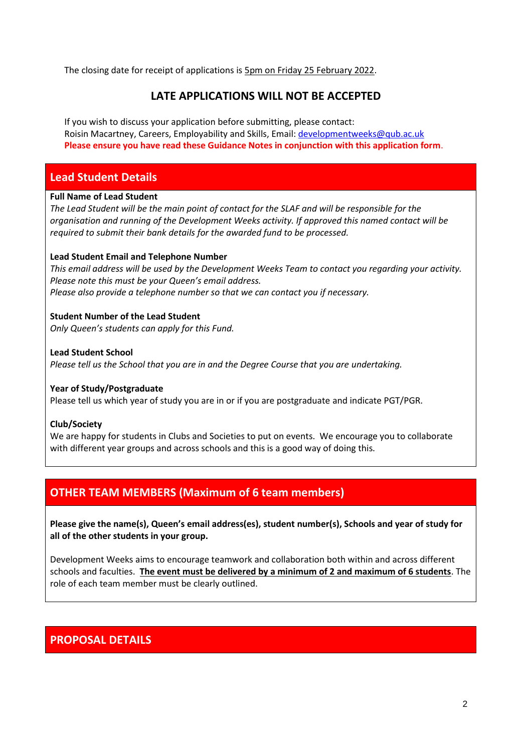The closing date for receipt of applications is 5pm on Friday 25 February 2022.

## **LATE APPLICATIONS WILL NOT BE ACCEPTED**

If you wish to discuss your application before submitting, please contact: Roisin Macartney, Careers, Employability and Skills, Email[: developmentweeks@qub.ac.uk](mailto:developmentweeks@qub.ac.uk) **Please ensure you have read these Guidance Notes in conjunction with this application form**.

## **Lead Student Details**

### **Full Name of Lead Student**

*The Lead Student will be the main point of contact for the SLAF and will be responsible for the organisation and running of the Development Weeks activity. If approved this named contact will be required to submit their bank details for the awarded fund to be processed.*

### **Lead Student Email and Telephone Number**

*This email address will be used by the Development Weeks Team to contact you regarding your activity. Please note this must be your Queen's email address. Please also provide a telephone number so that we can contact you if necessary.*

### **Student Number of the Lead Student**

*Only Queen's students can apply for this Fund.* 

### **Lead Student School**

*Please tell us the School that you are in and the Degree Course that you are undertaking.*

#### **Year of Study/Postgraduate**

Please tell us which year of study you are in or if you are postgraduate and indicate PGT/PGR.

#### **Club/Society**

We are happy for students in Clubs and Societies to put on events. We encourage you to collaborate with different year groups and across schools and this is a good way of doing this.

## **OTHER TEAM MEMBERS (Maximum of 6 team members)**

**Please give the name(s), Queen's email address(es), student number(s), Schools and year of study for all of the other students in your group.**

Development Weeks aims to encourage teamwork and collaboration both within and across different schools and faculties. **The event must be delivered by a minimum of 2 and maximum of 6 students**. The role of each team member must be clearly outlined.

## **PROPOSAL DETAILS**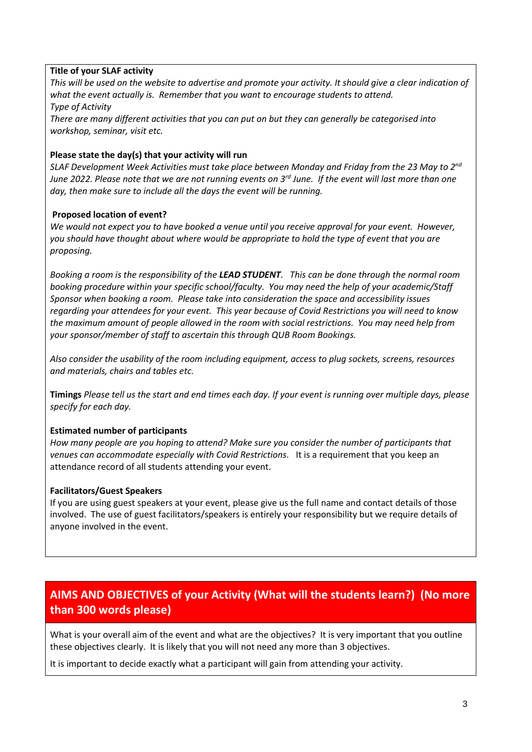## **Title of your SLAF activity**

*This will be used on the website to advertise and promote your activity. It should give a clear indication of what the event actually is. Remember that you want to encourage students to attend. Type of Activity*

*There are many different activities that you can put on but they can generally be categorised into workshop, seminar, visit etc.*

### **Please state the day(s) that your activity will run**

*SLAF Development Week Activities must take place between Monday and Friday from the 23 May to 2nd June 2022. Please note that we are not running events on 3rd June. If the event will last more than one day, then make sure to include all the days the event will be running.* 

### **Proposed location of event?**

*We would not expect you to have booked a venue until you receive approval for your event. However, you should have thought about where would be appropriate to hold the type of event that you are proposing.*

*Booking a room is the responsibility of the LEAD STUDENT. This can be done through the normal room booking procedure within your specific school/faculty. You may need the help of your academic/Staff Sponsor when booking a room. Please take into consideration the space and accessibility issues regarding your attendees for your event. This year because of Covid Restrictions you will need to know the maximum amount of people allowed in the room with social restrictions. You may need help from your sponsor/member of staff to ascertain this through QUB Room Bookings.*

*Also consider the usability of the room including equipment, access to plug sockets, screens, resources and materials, chairs and tables etc.*

**Timings** *Please tell us the start and end times each day. If your event is running over multiple days, please specify for each day.*

#### **Estimated number of participants**

*How many people are you hoping to attend? Make sure you consider the number of participants that venues can accommodate especially with Covid Restrictions.* It is a requirement that you keep an attendance record of all students attending your event.

#### **Facilitators/Guest Speakers**

If you are using guest speakers at your event, please give us the full name and contact details of those involved. The use of guest facilitators/speakers is entirely your responsibility but we require details of anyone involved in the event.

# **AIMS AND OBJECTIVES of your Activity (What will the students learn?) (No more than 300 words please)**

What is your overall aim of the event and what are the objectives? It is very important that you outline these objectives clearly. It is likely that you will not need any more than 3 objectives.

It is important to decide exactly what a participant will gain from attending your activity.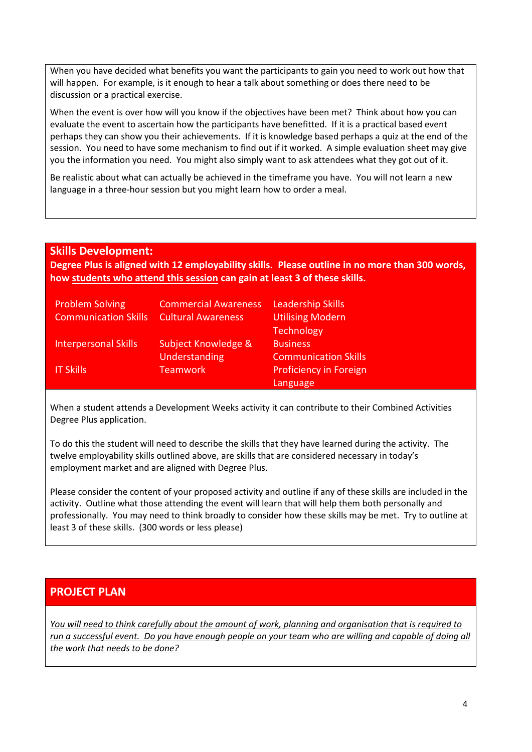When you have decided what benefits you want the participants to gain you need to work out how that will happen. For example, is it enough to hear a talk about something or does there need to be discussion or a practical exercise.

When the event is over how will you know if the objectives have been met? Think about how you can evaluate the event to ascertain how the participants have benefitted. If it is a practical based event perhaps they can show you their achievements. If it is knowledge based perhaps a quiz at the end of the session. You need to have some mechanism to find out if it worked. A simple evaluation sheet may give you the information you need. You might also simply want to ask attendees what they got out of it.

Be realistic about what can actually be achieved in the timeframe you have. You will not learn a new language in a three-hour session but you might learn how to order a meal.

## **Skills Development:**

**Degree Plus is aligned with 12 employability skills. Please outline in no more than 300 words, how students who attend this session can gain at least 3 of these skills.** 

| <b>Problem Solving</b>      | <b>Commercial Awareness</b> | <b>Leadership Skills</b>      |
|-----------------------------|-----------------------------|-------------------------------|
| <b>Communication Skills</b> | <b>Cultural Awareness</b>   | <b>Utilising Modern</b>       |
|                             |                             | <b>Technology</b>             |
| <b>Interpersonal Skills</b> | Subject Knowledge &         | <b>Business</b>               |
|                             | <b>Understanding</b>        | <b>Communication Skills</b>   |
| <b>IT Skills</b>            | <b>Teamwork</b>             | <b>Proficiency in Foreign</b> |
|                             |                             | Language                      |

When a student attends a Development Weeks activity it can contribute to their Combined Activities Degree Plus application.

To do this the student will need to describe the skills that they have learned during the activity. The twelve employability skills outlined above, are skills that are considered necessary in today's employment market and are aligned with Degree Plus.

Please consider the content of your proposed activity and outline if any of these skills are included in the activity. Outline what those attending the event will learn that will help them both personally and professionally. You may need to think broadly to consider how these skills may be met. Try to outline at least 3 of these skills. (300 words or less please)

## **PROJECT PLAN**

*You will need to think carefully about the amount of work, planning and organisation that is required to run a successful event. Do you have enough people on your team who are willing and capable of doing all the work that needs to be done?*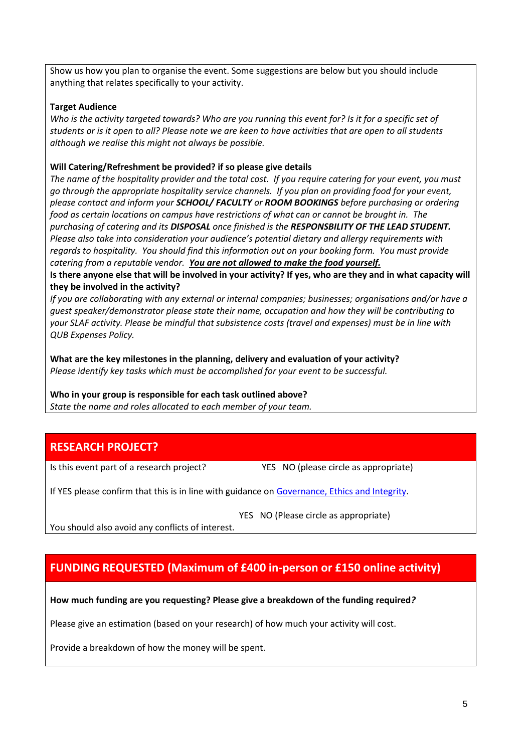Show us how you plan to organise the event. Some suggestions are below but you should include anything that relates specifically to your activity.

## **Target Audience**

*Who is the activity targeted towards? Who are you running this event for? Is it for a specific set of students or is it open to all? Please note we are keen to have activities that are open to all students although we realise this might not always be possible.* 

## **Will Catering/Refreshment be provided? if so please give details**

*The name of the hospitality provider and the total cost. If you require catering for your event, you must go through the appropriate hospitality service channels. If you plan on providing food for your event, please contact and inform your SCHOOL/ FACULTY or ROOM BOOKINGS before purchasing or ordering food as certain locations on campus have restrictions of what can or cannot be brought in. The purchasing of catering and its DISPOSAL once finished is the RESPONSBILITY OF THE LEAD STUDENT. Please also take into consideration your audience's potential dietary and allergy requirements with regards to hospitality. You should find this information out on your booking form. You must provide catering from a reputable vendor. You are not allowed to make the food yourself.*

**Is there anyone else that will be involved in your activity? If yes, who are they and in what capacity will they be involved in the activity?**

*If you are collaborating with any external or internal companies; businesses; organisations and/or have a guest speaker/demonstrator please state their name, occupation and how they will be contributing to your SLAF activity. Please be mindful that subsistence costs (travel and expenses) must be in line with QUB Expenses Policy.*

**What are the key milestones in the planning, delivery and evaluation of your activity?** *Please identify key tasks which must be accomplished for your event to be successful.* 

**Who in your group is responsible for each task outlined above?** *State the name and roles allocated to each member of your team.*

## **RESEARCH PROJECT?**

Is this event part of a research project? YES NO (please circle as appropriate)

If YES please confirm that this is in line with guidance o[n Governance, Ethics and Integrity.](https://www.qub.ac.uk/Research/Governance-ethics-and-integrity/)

YES NO (Please circle as appropriate)

You should also avoid any conflicts of interest.

# **FUNDING REQUESTED (Maximum of £400 in-person or £150 online activity)**

#### **How much funding are you requesting? Please give a breakdown of the funding required***?*

Please give an estimation (based on your research) of how much your activity will cost.

Provide a breakdown of how the money will be spent.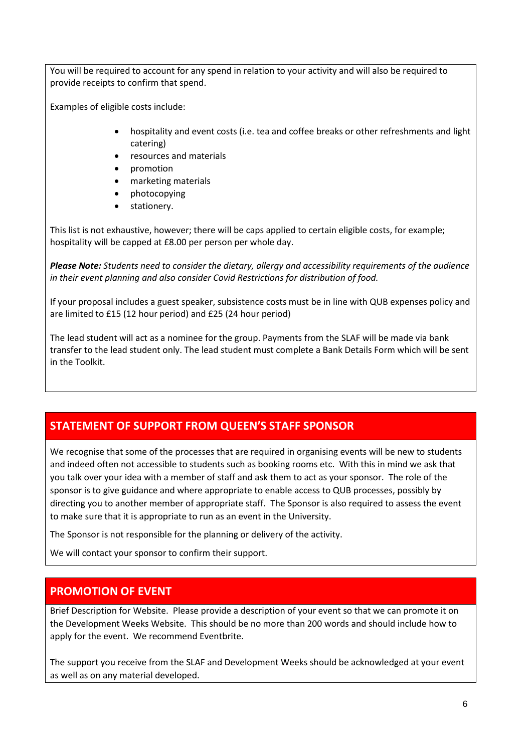You will be required to account for any spend in relation to your activity and will also be required to provide receipts to confirm that spend.

Examples of eligible costs include:

- hospitality and event costs (i.e. tea and coffee breaks or other refreshments and light catering)
- resources and materials
- promotion
- marketing materials
- photocopying
- stationery.

This list is not exhaustive, however; there will be caps applied to certain eligible costs, for example; hospitality will be capped at £8.00 per person per whole day.

*Please Note: Students need to consider the dietary, allergy and accessibility requirements of the audience in their event planning and also consider Covid Restrictions for distribution of food.*

If your proposal includes a guest speaker, subsistence costs must be in line with QUB expenses policy and are limited to £15 (12 hour period) and £25 (24 hour period)

The lead student will act as a nominee for the group. Payments from the SLAF will be made via bank transfer to the lead student only. The lead student must complete a Bank Details Form which will be sent in the Toolkit.

# **STATEMENT OF SUPPORT FROM QUEEN'S STAFF SPONSOR**

We recognise that some of the processes that are required in organising events will be new to students and indeed often not accessible to students such as booking rooms etc. With this in mind we ask that you talk over your idea with a member of staff and ask them to act as your sponsor. The role of the sponsor is to give guidance and where appropriate to enable access to QUB processes, possibly by directing you to another member of appropriate staff. The Sponsor is also required to assess the event to make sure that it is appropriate to run as an event in the University.

The Sponsor is not responsible for the planning or delivery of the activity.

We will contact your sponsor to confirm their support.

## **PROMOTION OF EVENT**

Brief Description for Website. Please provide a description of your event so that we can promote it on the Development Weeks Website. This should be no more than 200 words and should include how to apply for the event. We recommend Eventbrite.

The support you receive from the SLAF and Development Weeks should be acknowledged at your event as well as on any material developed.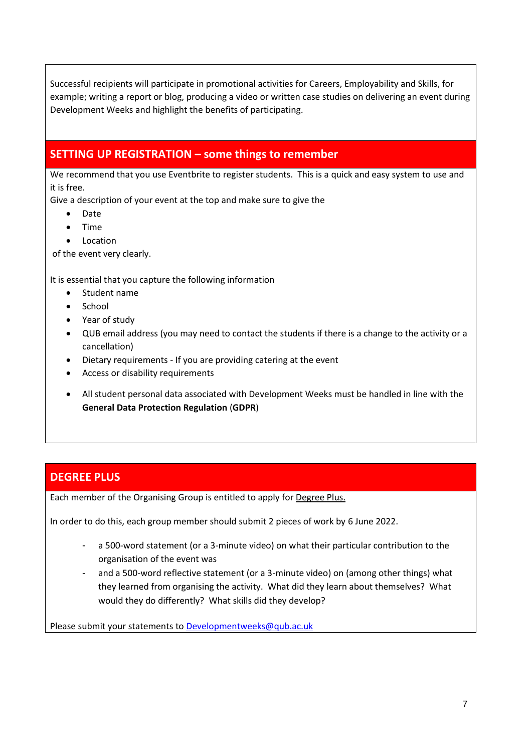Successful recipients will participate in promotional activities for Careers, Employability and Skills, for example; writing a report or blog, producing a video or written case studies on delivering an event during Development Weeks and highlight the benefits of participating.

# **SETTING UP REGISTRATION – some things to remember**

We recommend that you use Eventbrite to register students. This is a quick and easy system to use and it is free.

Give a description of your event at the top and make sure to give the

- Date
- Time
- Location

of the event very clearly.

It is essential that you capture the following information

- Student name
- School
- Year of study
- QUB email address (you may need to contact the students if there is a change to the activity or a cancellation)
- Dietary requirements If you are providing catering at the event
- Access or disability requirements
- All student personal data associated with Development Weeks must be handled in line with the **General Data Protection Regulation** (**GDPR**)

## **DEGREE PLUS**

Each member of the Organising Group is entitled to apply for [Degree Plus.](http://www.qub.ac.uk/degreeplus)

In order to do this, each group member should submit 2 pieces of work by 6 June 2022.

- a 500-word statement (or a 3-minute video) on what their particular contribution to the organisation of the event was
- and a 500-word reflective statement (or a 3-minute video) on (among other things) what they learned from organising the activity. What did they learn about themselves? What would they do differently? What skills did they develop?

Please submit your statements to [Developmentweeks@qub.ac.uk](mailto:Developmentweeks@qub.ac.uk)